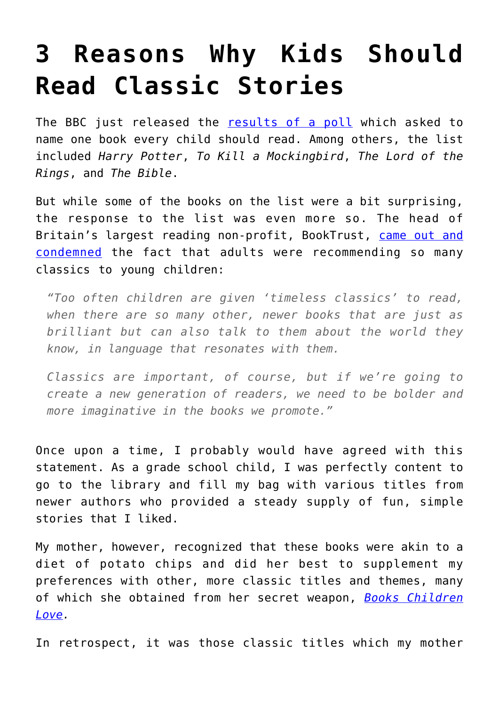## **[3 Reasons Why Kids Should](https://intellectualtakeout.org/2016/07/3-reasons-why-kids-should-read-classic-stories/) [Read Classic Stories](https://intellectualtakeout.org/2016/07/3-reasons-why-kids-should-read-classic-stories/)**

The BBC just released the [results of a poll](http://www.bbc.co.uk/programmes/articles/5XRc31l9ZTQZrgF6w0sshbp/harry-potter-is-top-of-the-class) which asked to name one book every child should read. Among others, the list included *Harry Potter*, *To Kill a Mockingbird*, *The Lord of the Rings*, and *The Bible*.

But while some of the books on the list were a bit surprising, the response to the list was even more so. The head of Britain's largest reading non-profit, BookTrust, [came out and](http://www.telegraph.co.uk/news/2016/07/10/bbc-childrens-book-list-too-focused-on-daunting-classics-booktru/) [condemned](http://www.telegraph.co.uk/news/2016/07/10/bbc-childrens-book-list-too-focused-on-daunting-classics-booktru/) the fact that adults were recommending so many classics to young children:

*"Too often children are given 'timeless classics' to read, when there are so many other, newer books that are just as brilliant but can also talk to them about the world they know, in language that resonates with them.* 

*Classics are important, of course, but if we're going to create a new generation of readers, we need to be bolder and more imaginative in the books we promote."* 

Once upon a time, I probably would have agreed with this statement. As a grade school child, I was perfectly content to go to the library and fill my bag with various titles from newer authors who provided a steady supply of fun, simple stories that I liked.

My mother, however, recognized that these books were akin to a diet of potato chips and did her best to supplement my preferences with other, more classic titles and themes, many of which she obtained from her secret weapon, *[Books Children](https://www.amazon.com/gp/product/1581341989/ref=as_li_qf_sp_asin_il_tl?ie=UTF8&tag=intelltakeo0d-20&camp=1789&creative=9325&linkCode=as2&creativeASIN=1581341989&linkId=ae000c2c5108b5f8bc9dd1b0eac6e09e) [Love](https://www.amazon.com/gp/product/1581341989/ref=as_li_qf_sp_asin_il_tl?ie=UTF8&tag=intelltakeo0d-20&camp=1789&creative=9325&linkCode=as2&creativeASIN=1581341989&linkId=ae000c2c5108b5f8bc9dd1b0eac6e09e).*

In retrospect, it was those classic titles which my mother